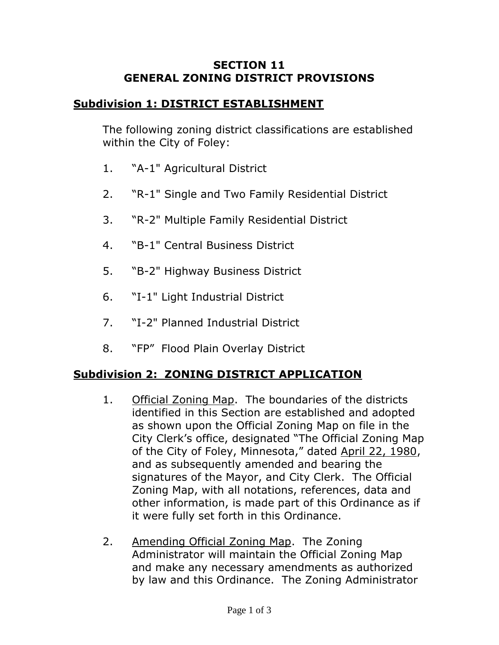### **SECTION 11 GENERAL ZONING DISTRICT PROVISIONS**

## **Subdivision 1: DISTRICT ESTABLISHMENT**

The following zoning district classifications are established within the City of Foley:

- 1. "A-1" Agricultural District
- 2. "R-1" Single and Two Family Residential District
- 3. "R-2" Multiple Family Residential District
- 4. "B-1" Central Business District
- 5. "B-2" Highway Business District
- 6. "I-1" Light Industrial District
- 7. "I-2" Planned Industrial District
- 8. "FP" Flood Plain Overlay District

# **Subdivision 2: ZONING DISTRICT APPLICATION**

- 1. Official Zoning Map. The boundaries of the districts identified in this Section are established and adopted as shown upon the Official Zoning Map on file in the City Clerk's office, designated "The Official Zoning Map of the City of Foley, Minnesota," dated April 22, 1980, and as subsequently amended and bearing the signatures of the Mayor, and City Clerk. The Official Zoning Map, with all notations, references, data and other information, is made part of this Ordinance as if it were fully set forth in this Ordinance.
- 2. Amending Official Zoning Map. The Zoning Administrator will maintain the Official Zoning Map and make any necessary amendments as authorized by law and this Ordinance. The Zoning Administrator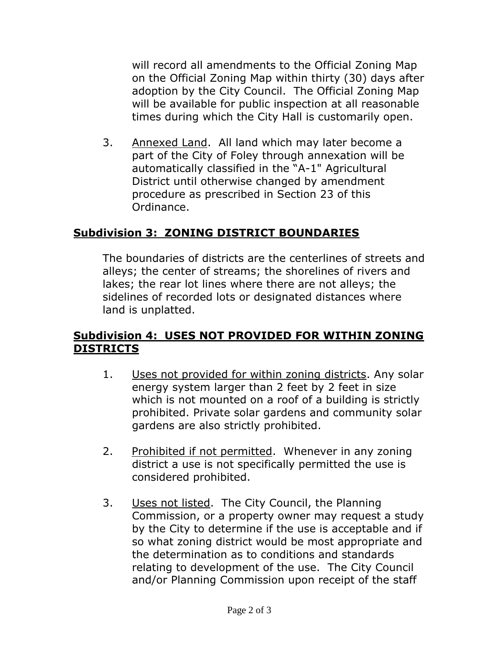will record all amendments to the Official Zoning Map on the Official Zoning Map within thirty (30) days after adoption by the City Council. The Official Zoning Map will be available for public inspection at all reasonable times during which the City Hall is customarily open.

3. Annexed Land. All land which may later become a part of the City of Foley through annexation will be automatically classified in the "A-1" Agricultural District until otherwise changed by amendment procedure as prescribed in Section 23 of this Ordinance.

# **Subdivision 3: ZONING DISTRICT BOUNDARIES**

The boundaries of districts are the centerlines of streets and alleys; the center of streams; the shorelines of rivers and lakes; the rear lot lines where there are not alleys; the sidelines of recorded lots or designated distances where land is unplatted.

## **Subdivision 4: USES NOT PROVIDED FOR WITHIN ZONING DISTRICTS**

- 1. Uses not provided for within zoning districts. Any solar energy system larger than 2 feet by 2 feet in size which is not mounted on a roof of a building is strictly prohibited. Private solar gardens and community solar gardens are also strictly prohibited.
- 2. Prohibited if not permitted. Whenever in any zoning district a use is not specifically permitted the use is considered prohibited.
- 3. Uses not listed. The City Council, the Planning Commission, or a property owner may request a study by the City to determine if the use is acceptable and if so what zoning district would be most appropriate and the determination as to conditions and standards relating to development of the use. The City Council and/or Planning Commission upon receipt of the staff